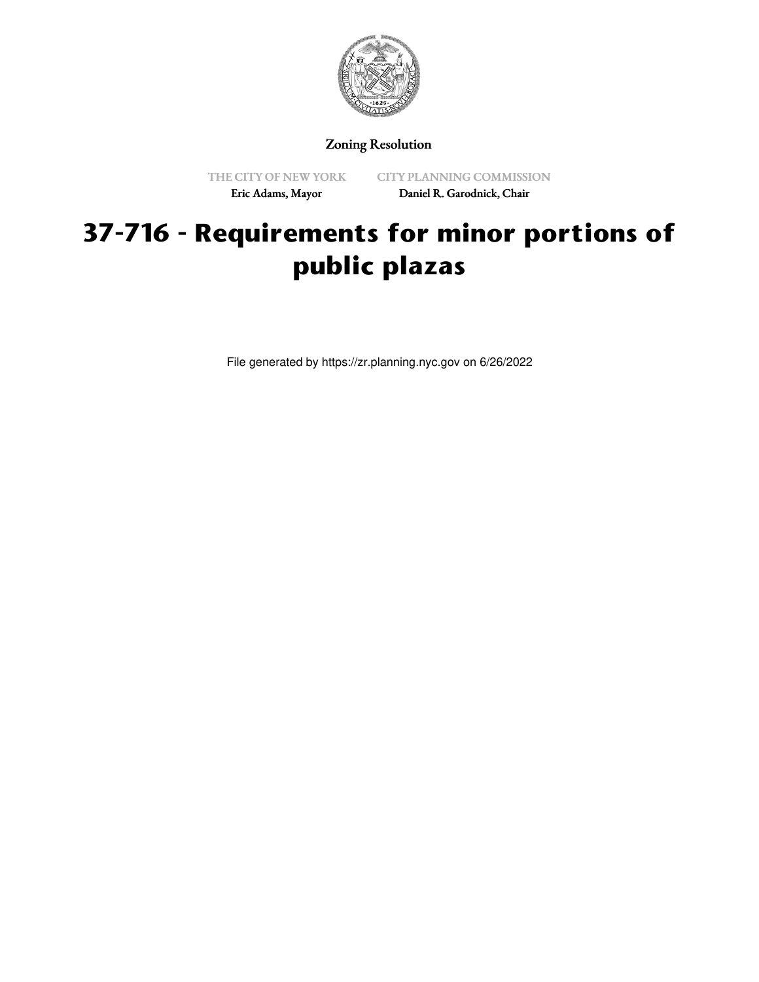

Zoning Resolution

THE CITY OF NEW YORK Eric Adams, Mayor

CITY PLANNING COMMISSION Daniel R. Garodnick, Chair

## **37-716 - Requirements for minor portions of public plazas**

File generated by https://zr.planning.nyc.gov on 6/26/2022